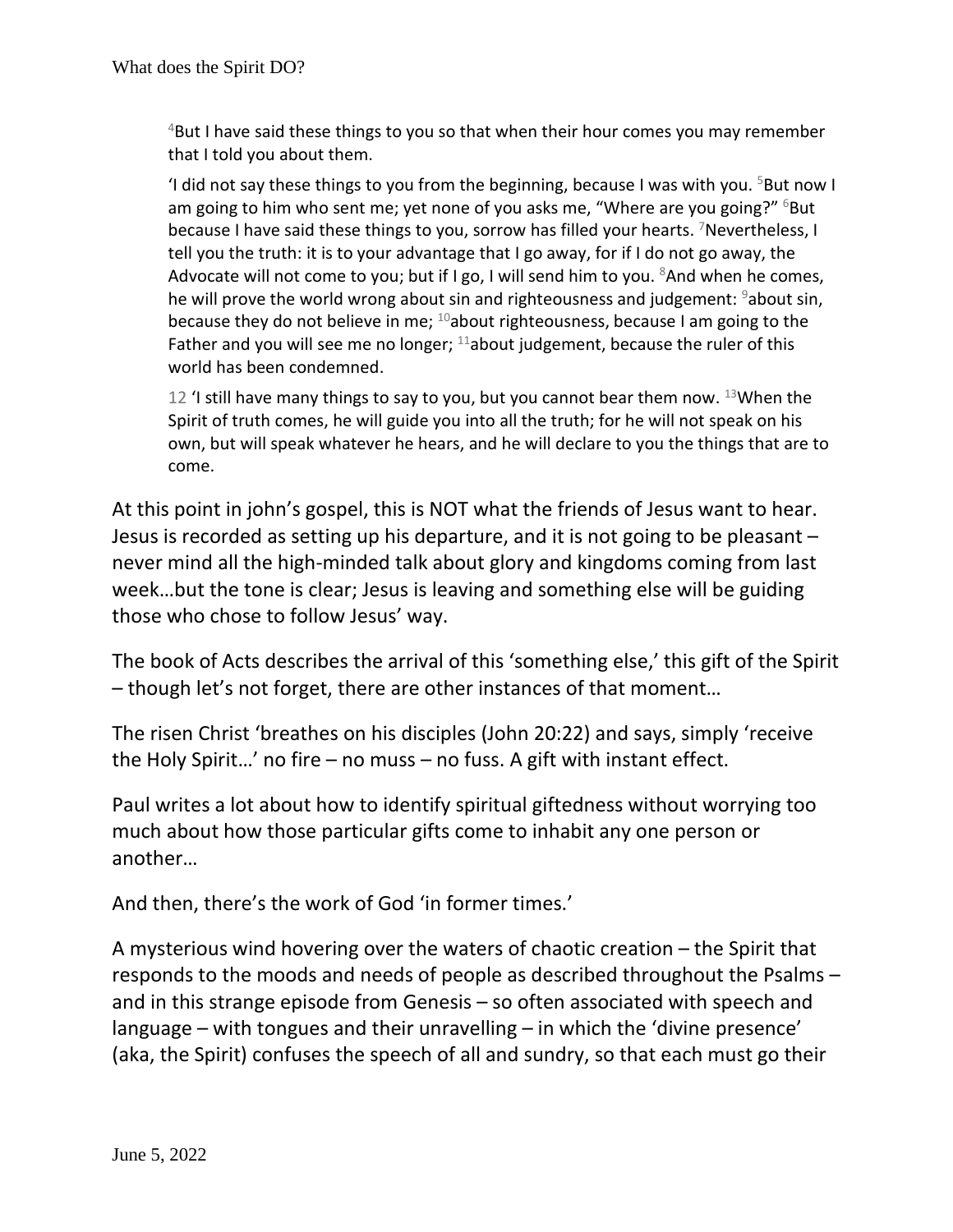$4$ But I have said these things to you so that when their hour comes you may remember that I told you about them.

'I did not say these things to you from the beginning, because I was with you.  $5$ But now I am going to him who sent me; yet none of you asks me, "Where are you going?" <sup>6</sup>But because I have said these things to you, sorrow has filled your hearts. Mevertheless, I tell you the truth: it is to your advantage that I go away, for if I do not go away, the Advocate will not come to you; but if I go, I will send him to you.  $8$ And when he comes, he will prove the world wrong about sin and righteousness and judgement:  $9$ about sin, because they do not believe in me;  $^{10}$ about righteousness, because I am going to the Father and you will see me no longer;  $11$ about judgement, because the ruler of this world has been condemned.

12 'I still have many things to say to you, but you cannot bear them now. 13When the Spirit of truth comes, he will guide you into all the truth; for he will not speak on his own, but will speak whatever he hears, and he will declare to you the things that are to come.

At this point in john's gospel, this is NOT what the friends of Jesus want to hear. Jesus is recorded as setting up his departure, and it is not going to be pleasant – never mind all the high-minded talk about glory and kingdoms coming from last week…but the tone is clear; Jesus is leaving and something else will be guiding those who chose to follow Jesus' way.

The book of Acts describes the arrival of this 'something else,' this gift of the Spirit – though let's not forget, there are other instances of that moment…

The risen Christ 'breathes on his disciples (John 20:22) and says, simply 'receive the Holy Spirit…' no fire – no muss – no fuss. A gift with instant effect.

Paul writes a lot about how to identify spiritual giftedness without worrying too much about how those particular gifts come to inhabit any one person or another…

And then, there's the work of God 'in former times.'

A mysterious wind hovering over the waters of chaotic creation – the Spirit that responds to the moods and needs of people as described throughout the Psalms – and in this strange episode from Genesis – so often associated with speech and language – with tongues and their unravelling – in which the 'divine presence' (aka, the Spirit) confuses the speech of all and sundry, so that each must go their